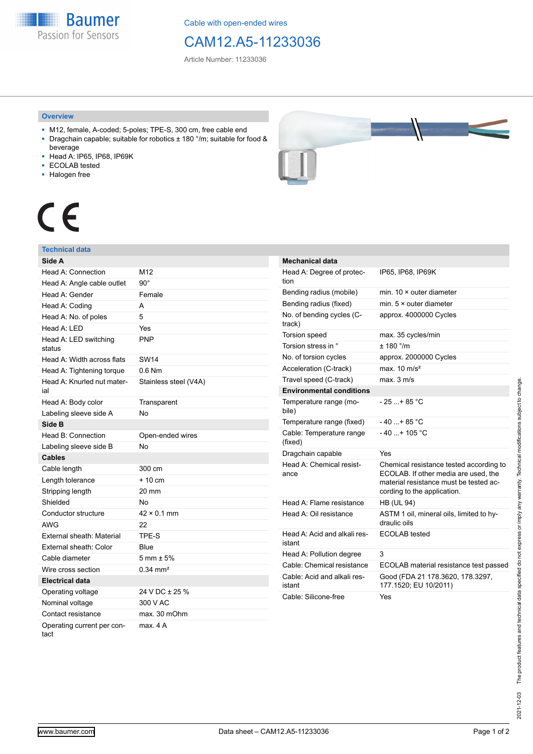**Baumer** Passion for Sensors

Cable with open-ended wires

# CAM12.A5-11233036

Article Number: 11233036

### **Overview**

- M12, female, A-coded; 5-poles; TPE-S, 300 cm, free cable end ■ Dragchain capable; suitable for robotics ± 180 °/m; suitable for food &
- beverage
- Head A: IP65, IP68, IP69K
- ECOLAB tested
- Halogen free



# CE

## **Technical data**

| Side A                             |                        |
|------------------------------------|------------------------|
| Head A: Connection                 | M12                    |
| Head A: Angle cable outlet         | $90^{\circ}$           |
| Head A: Gender                     | Female                 |
| Head A: Coding                     | A                      |
| Head A: No. of poles               | 5                      |
| Head A: LED                        | Yes                    |
| Head A: LED switching<br>status    | <b>PNP</b>             |
| Head A: Width across flats         | <b>SW14</b>            |
| Head A: Tightening torque          | $0.6$ Nm               |
| Head A: Knurled nut mater-<br>ial  | Stainless steel (V4A)  |
| Head A: Body color                 | Transparent            |
| Labeling sleeve side A             | No                     |
| Side B                             |                        |
| Head B: Connection                 | Open-ended wires       |
| Labeling sleeve side B             | N <sub>o</sub>         |
| <b>Cables</b>                      |                        |
| Cable length                       | 300 cm                 |
| Length tolerance                   | $+10cm$                |
| Stripping length                   | 20 mm                  |
| Shielded                           | No                     |
| Conductor structure                | $42 \times 0.1$ mm     |
| <b>AWG</b>                         | 22                     |
| External sheath: Material          | TPE-S                  |
| External sheath: Color             | Blue                   |
| Cable diameter                     | $5 \text{ mm} \pm 5\%$ |
| Wire cross section                 | $0.34$ mm <sup>2</sup> |
| Electrical data                    |                        |
| Operating voltage                  | 24 V DC ± 25 %         |
| Nominal voltage                    | 300 V AC               |
| Contact resistance                 | max. 30 mOhm           |
| Operating current per con-<br>tact | max. 4 A               |

| <b>Mechanical data</b>                 |                                                                                                                                                          |  |  |
|----------------------------------------|----------------------------------------------------------------------------------------------------------------------------------------------------------|--|--|
| Head A: Degree of protec-<br>tion      | IP65, IP68, IP69K                                                                                                                                        |  |  |
| Bending radius (mobile)                | min. $10 \times$ outer diameter                                                                                                                          |  |  |
| Bending radius (fixed)                 | min. $5 \times$ outer diameter                                                                                                                           |  |  |
| No. of bending cycles (C-<br>track)    | approx. 4000000 Cycles                                                                                                                                   |  |  |
| Torsion speed                          | max. 35 cycles/min                                                                                                                                       |  |  |
| Torsion stress in °                    | $+$ 180 $^{\circ}$ /m                                                                                                                                    |  |  |
| No. of torsion cycles                  | approx. 2000000 Cycles                                                                                                                                   |  |  |
| Acceleration (C-track)                 | max. $10 \text{ m/s}^2$                                                                                                                                  |  |  |
| Travel speed (C-track)                 | max. 3 m/s                                                                                                                                               |  |  |
| <b>Environmental conditions</b>        |                                                                                                                                                          |  |  |
| Temperature range (mo-<br>bile)        | $-25+85 °C$                                                                                                                                              |  |  |
| Temperature range (fixed)              | $-40+85 °C$                                                                                                                                              |  |  |
| Cable: Temperature range<br>(fixed)    | $-40$ + 105 °C                                                                                                                                           |  |  |
| Dragchain capable                      | Yes                                                                                                                                                      |  |  |
| Head A: Chemical resist-<br>ance       | Chemical resistance tested according to<br>ECOLAB. If other media are used, the<br>material resistance must be tested ac-<br>cording to the application. |  |  |
| Head A: Flame resistance               | <b>HB (UL 94)</b>                                                                                                                                        |  |  |
| Head A: Oil resistance                 | ASTM 1 oil, mineral oils, limited to hy-<br>draulic oils                                                                                                 |  |  |
| Head A: Acid and alkali res-<br>istant | <b>ECOLAB</b> tested                                                                                                                                     |  |  |
| Head A: Pollution degree               | 3                                                                                                                                                        |  |  |
| Cable: Chemical resistance             | ECOLAB material resistance test passed                                                                                                                   |  |  |
| Cable: Acid and alkali res-<br>istant  | Good (FDA 21 178.3620, 178.3297,<br>177.1520; EU 10/2011)                                                                                                |  |  |
| Cable: Silicone-free                   | Yes                                                                                                                                                      |  |  |